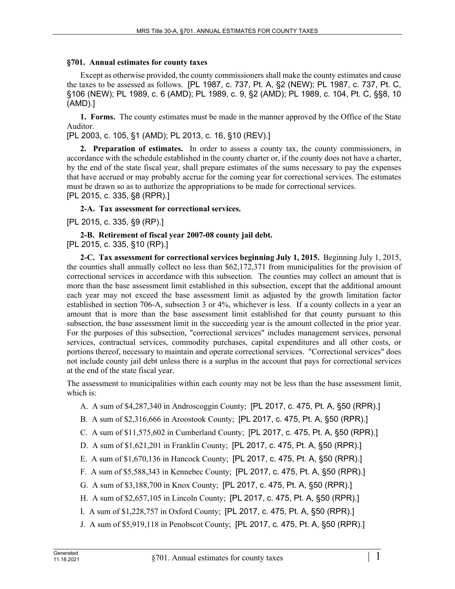## **§701. Annual estimates for county taxes**

Except as otherwise provided, the county commissioners shall make the county estimates and cause the taxes to be assessed as follows. [PL 1987, c. 737, Pt. A, §2 (NEW); PL 1987, c. 737, Pt. C, §106 (NEW); PL 1989, c. 6 (AMD); PL 1989, c. 9, §2 (AMD); PL 1989, c. 104, Pt. C, §§8, 10 (AMD).]

**1. Forms.** The county estimates must be made in the manner approved by the Office of the State Auditor.

[PL 2003, c. 105, §1 (AMD); PL 2013, c. 16, §10 (REV).]

**2. Preparation of estimates.** In order to assess a county tax, the county commissioners, in accordance with the schedule established in the county charter or, if the county does not have a charter, by the end of the state fiscal year, shall prepare estimates of the sums necessary to pay the expenses that have accrued or may probably accrue for the coming year for correctional services. The estimates must be drawn so as to authorize the appropriations to be made for correctional services. [PL 2015, c. 335, §8 (RPR).]

**2-A. Tax assessment for correctional services.** 

[PL 2015, c. 335, §9 (RP).]

**2-B. Retirement of fiscal year 2007-08 county jail debt.**  [PL 2015, c. 335, §10 (RP).]

**2-C. Tax assessment for correctional services beginning July 1, 2015.** Beginning July 1, 2015, the counties shall annually collect no less than \$62,172,371 from municipalities for the provision of correctional services in accordance with this subsection. The counties may collect an amount that is more than the base assessment limit established in this subsection, except that the additional amount each year may not exceed the base assessment limit as adjusted by the growth limitation factor established in section 706-A, subsection 3 or 4%, whichever is less. If a county collects in a year an amount that is more than the base assessment limit established for that county pursuant to this subsection, the base assessment limit in the succeeding year is the amount collected in the prior year. For the purposes of this subsection, "correctional services" includes management services, personal services, contractual services, commodity purchases, capital expenditures and all other costs, or portions thereof, necessary to maintain and operate correctional services. "Correctional services" does not include county jail debt unless there is a surplus in the account that pays for correctional services at the end of the state fiscal year.

The assessment to municipalities within each county may not be less than the base assessment limit, which is:

- A. A sum of \$4,287,340 in Androscoggin County; [PL 2017, c. 475, Pt. A, §50 (RPR).]
- B. A sum of \$2,316,666 in Aroostook County; [PL 2017, c. 475, Pt. A, §50 (RPR).]
- C. A sum of \$11,575,602 in Cumberland County; [PL 2017, c. 475, Pt. A, §50 (RPR).]
- D. A sum of \$1,621,201 in Franklin County; [PL 2017, c. 475, Pt. A, §50 (RPR).]
- E. A sum of \$1,670,136 in Hancock County; [PL 2017, c. 475, Pt. A, §50 (RPR).]
- F. A sum of \$5,588,343 in Kennebec County; [PL 2017, c. 475, Pt. A, §50 (RPR).]
- G. A sum of \$3,188,700 in Knox County; [PL 2017, c. 475, Pt. A, §50 (RPR).]
- H. A sum of \$2,657,105 in Lincoln County; [PL 2017, c. 475, Pt. A, §50 (RPR).]
- I. A sum of \$1,228,757 in Oxford County; [PL 2017, c. 475, Pt. A, §50 (RPR).]
- J. A sum of \$5,919,118 in Penobscot County; [PL 2017, c. 475, Pt. A, §50 (RPR).]